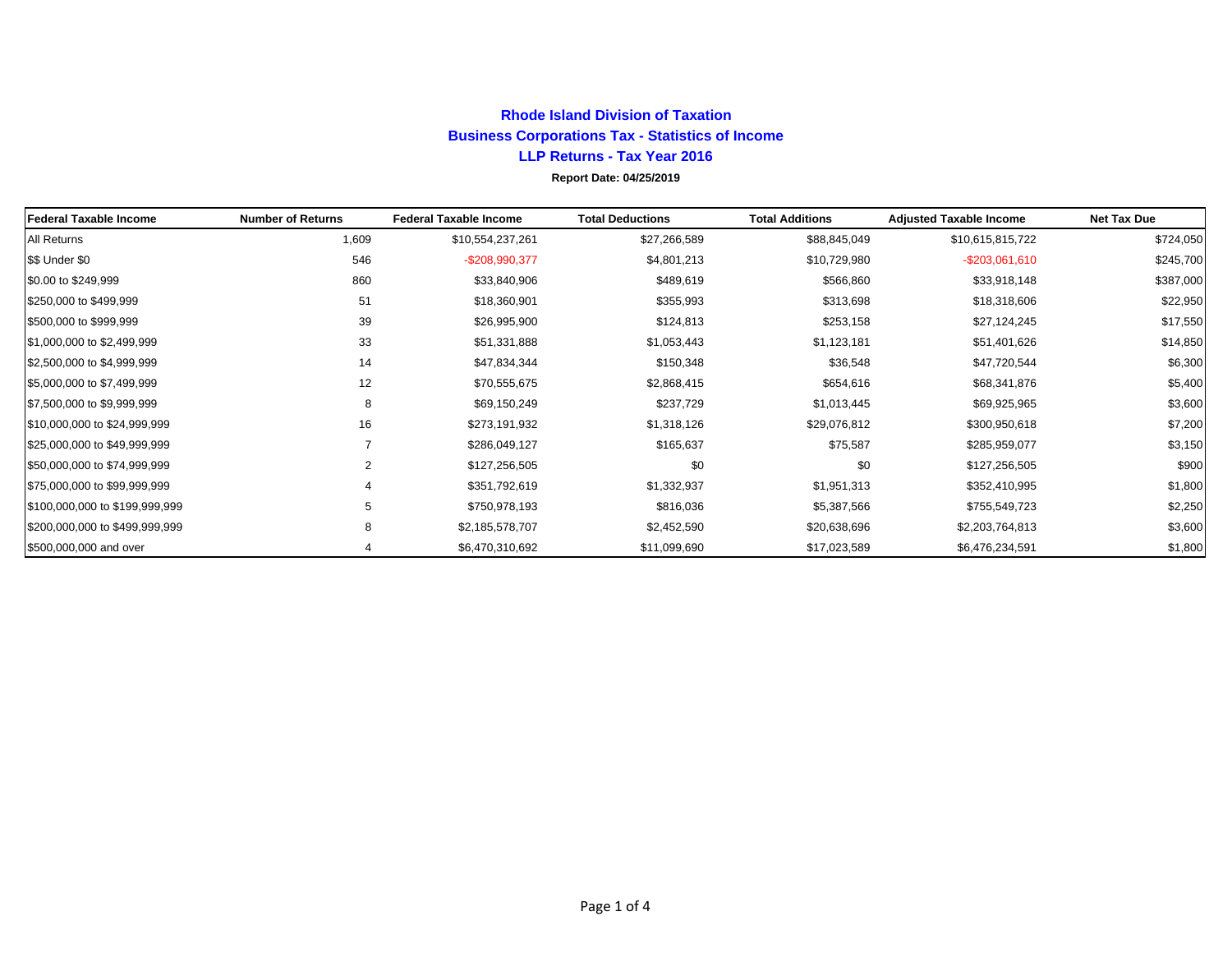## **Rhode Island Division of TaxationBusiness Corporations Tax - Statistics of Income LLP Returns - Tax Year 2016 Report Date: 04/25/2019**

| Federal Taxable Income         | <b>Number of Returns</b> | <b>Federal Taxable Income</b> | <b>Total Deductions</b> | <b>Total Additions</b> | <b>Adjusted Taxable Income</b> | <b>Net Tax Due</b> |
|--------------------------------|--------------------------|-------------------------------|-------------------------|------------------------|--------------------------------|--------------------|
| All Returns                    | 1,609                    | \$10,554,237,261              | \$27,266,589            | \$88,845,049           | \$10,615,815,722               | \$724,050          |
| \$\$ Under \$0                 | 546                      | -\$208,990,377                | \$4,801,213             | \$10,729,980           | $-$ \$203,061,610              | \$245,700          |
| \$0.00 to \$249,999            | 860                      | \$33,840,906                  | \$489,619               | \$566,860              | \$33,918,148                   | \$387,000          |
| \$250,000 to \$499,999         | 51                       | \$18,360,901                  | \$355,993               | \$313,698              | \$18,318,606                   | \$22,950           |
| \$500,000 to \$999,999         | 39                       | \$26,995,900                  | \$124,813               | \$253,158              | \$27,124,245                   | \$17,550           |
| \$1,000,000 to \$2,499,999     | 33                       | \$51,331,888                  | \$1,053,443             | \$1,123,181            | \$51,401,626                   | \$14,850           |
| \$2,500,000 to \$4,999,999     | 14                       | \$47,834,344                  | \$150,348               | \$36,548               | \$47,720,544                   | \$6,300            |
| \$5,000,000 to \$7,499,999     | 12                       | \$70,555,675                  | \$2,868,415             | \$654,616              | \$68,341,876                   | \$5,400            |
| \$7,500,000 to \$9,999,999     | 8                        | \$69,150,249                  | \$237,729               | \$1,013,445            | \$69,925,965                   | \$3,600            |
| \$10,000,000 to \$24,999,999   | 16                       | \$273,191,932                 | \$1,318,126             | \$29,076,812           | \$300,950,618                  | \$7,200            |
| \$25,000,000 to \$49,999,999   |                          | \$286,049,127                 | \$165,637               | \$75,587               | \$285,959,077                  | \$3,150            |
| \$50,000,000 to \$74,999,999   | $\overline{2}$           | \$127,256,505                 | \$0                     | \$0                    | \$127,256,505                  | \$900              |
| \$75,000,000 to \$99,999,999   |                          | \$351,792,619                 | \$1,332,937             | \$1,951,313            | \$352,410,995                  | \$1,800            |
| \$100,000,000 to \$199,999,999 | 5                        | \$750,978,193                 | \$816,036               | \$5,387,566            | \$755,549,723                  | \$2,250            |
| \$200,000,000 to \$499,999,999 | 8                        | \$2,185,578,707               | \$2,452,590             | \$20,638,696           | \$2,203,764,813                | \$3,600            |
| \$500,000,000 and over         |                          | \$6,470,310,692               | \$11,099,690            | \$17,023,589           | \$6,476,234,591                | \$1,800            |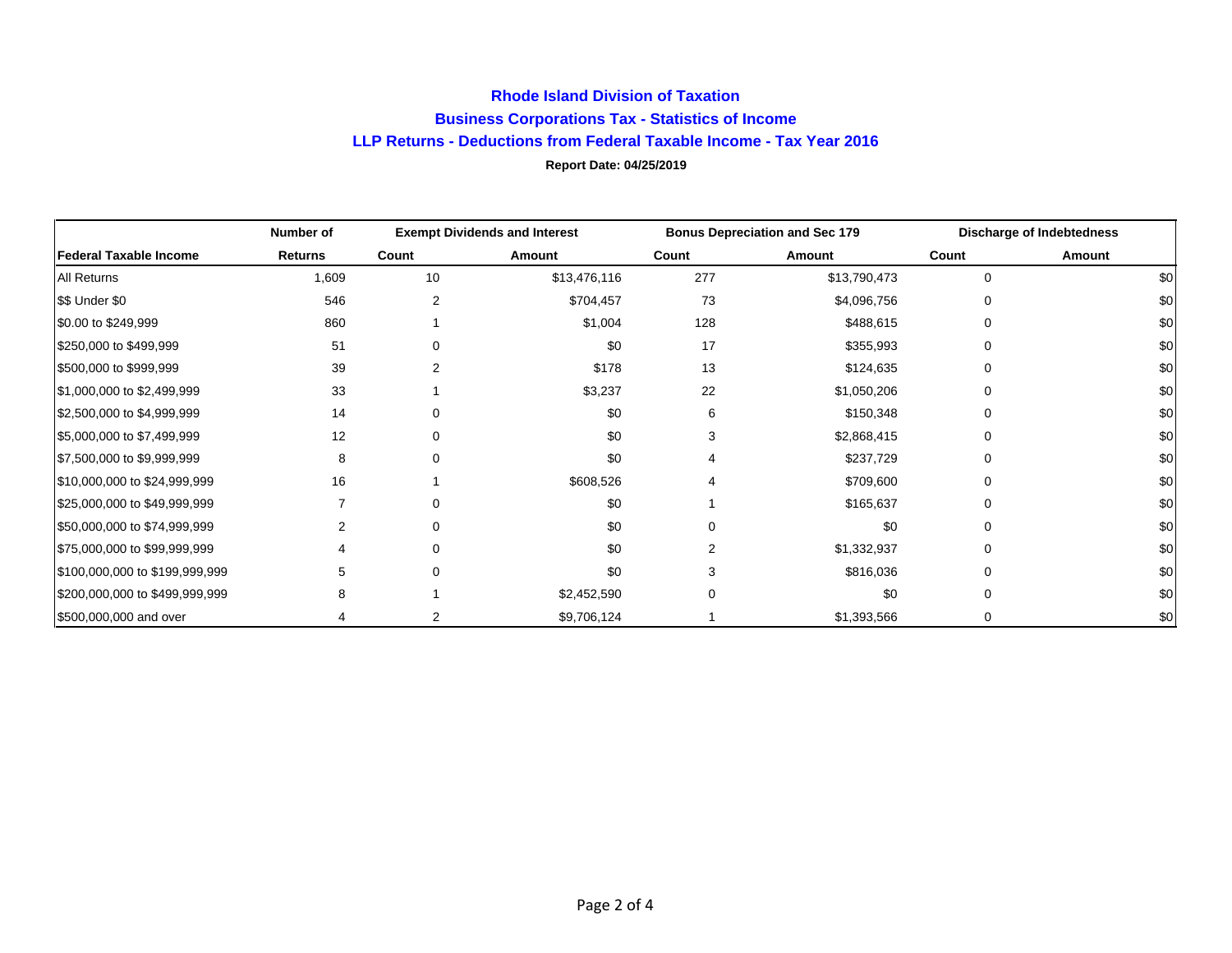## **Rhode Island Division of Taxation Business Corporations Tax - Statistics of Income LLP Returns - Deductions from Federal Taxable Income - Tax Year 2016 Report Date: 04/25/2019**

|                                | Number of      | <b>Exempt Dividends and Interest</b> |              | <b>Bonus Depreciation and Sec 179</b> |              | <b>Discharge of Indebtedness</b> |        |
|--------------------------------|----------------|--------------------------------------|--------------|---------------------------------------|--------------|----------------------------------|--------|
| <b>Federal Taxable Income</b>  | <b>Returns</b> | Count                                | Amount       | Count                                 | Amount       | Count                            | Amount |
| <b>All Returns</b>             | 1,609          | 10                                   | \$13,476,116 | 277                                   | \$13,790,473 | $\Omega$                         | \$0    |
| \$\$ Under \$0                 | 546            | 2                                    | \$704,457    | 73                                    | \$4,096,756  |                                  | \$0    |
| \$0.00 to \$249,999            | 860            |                                      | \$1,004      | 128                                   | \$488,615    | ∩                                | \$0    |
| \$250,000 to \$499,999         | 51             |                                      | \$0          | 17                                    | \$355,993    | O                                | \$0    |
| \$500,000 to \$999,999         | 39             |                                      | \$178        | 13                                    | \$124,635    |                                  | \$0    |
| \$1,000,000 to \$2,499,999     | 33             |                                      | \$3,237      | 22                                    | \$1,050,206  |                                  | \$0    |
| \$2,500,000 to \$4,999,999     | 14             | $\Omega$                             | \$0          | 6                                     | \$150,348    |                                  | \$0    |
| \$5,000,000 to \$7,499,999     | 12             | $\Omega$                             | \$0          |                                       | \$2,868,415  |                                  | \$0    |
| \$7,500,000 to \$9,999,999     | 8              | $\Omega$                             | \$0          |                                       | \$237,729    | 0                                | \$0    |
| \$10,000,000 to \$24,999,999   | 16             |                                      | \$608,526    |                                       | \$709,600    | ∩                                | \$0    |
| \$25,000,000 to \$49,999,999   |                | n                                    | \$0          |                                       | \$165,637    | O                                | \$0    |
| \$50,000,000 to \$74,999,999   |                | ∩                                    | \$0          |                                       | \$0          |                                  | \$0    |
| \$75,000,000 to \$99,999,999   |                | $\Omega$                             | \$0          |                                       | \$1,332,937  | O                                | \$0    |
| \$100,000,000 to \$199,999,999 | 5              | $\Omega$                             | \$0          |                                       | \$816,036    |                                  | \$0    |
| \$200,000,000 to \$499,999,999 | 8              |                                      | \$2,452,590  |                                       | \$0          |                                  | \$0    |
| \$500,000,000 and over         |                |                                      | \$9,706,124  |                                       | \$1,393,566  | 0                                | \$0    |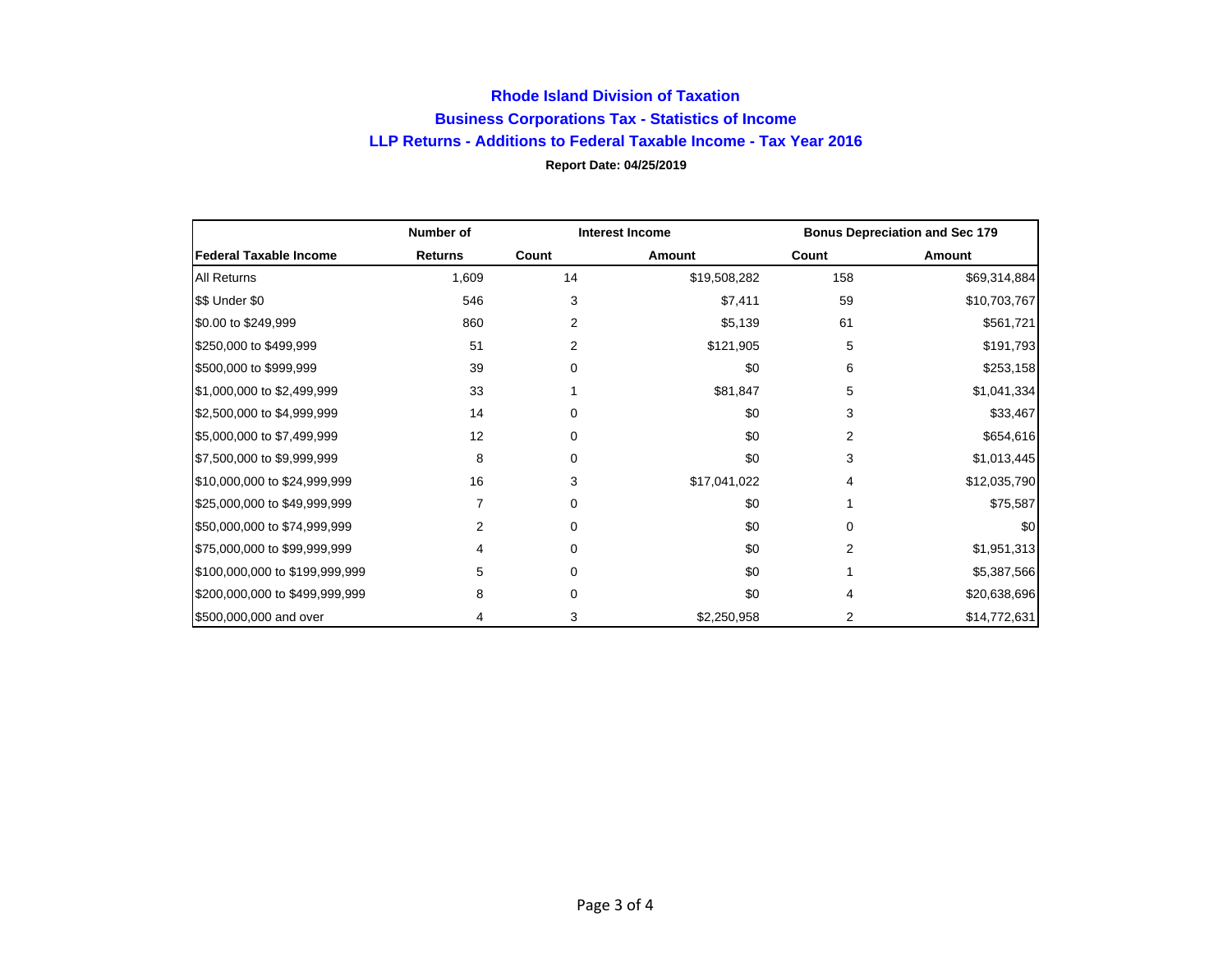## **Rhode Island Division of Taxation Business Corporations Tax - Statistics of Income LLP Returns - Additions to Federal Taxable Income - Tax Year 2016 Report Date: 04/25/2019**

|                                | Number of      | <b>Interest Income</b> |              | <b>Bonus Depreciation and Sec 179</b> |              |
|--------------------------------|----------------|------------------------|--------------|---------------------------------------|--------------|
| <b>Federal Taxable Income</b>  | <b>Returns</b> | Count                  | Amount       | Count                                 | Amount       |
| <b>All Returns</b>             | 1,609          | 14                     | \$19,508,282 | 158                                   | \$69,314,884 |
| \$\$ Under \$0                 | 546            | 3                      | \$7,411      | 59                                    | \$10,703,767 |
| \$0.00 to \$249,999            | 860            | 2                      | \$5,139      | 61                                    | \$561,721    |
| \$250,000 to \$499,999         | 51             | 2                      | \$121,905    | 5                                     | \$191,793    |
| \$500,000 to \$999,999         | 39             | 0                      | \$0          | 6                                     | \$253,158    |
| \$1,000,000 to \$2,499,999     | 33             |                        | \$81,847     | 5                                     | \$1,041,334  |
| \$2,500,000 to \$4,999,999     | 14             |                        | \$0          | 3                                     | \$33,467     |
| \$5,000,000 to \$7,499,999     | 12             | 0                      | \$0          | 2                                     | \$654,616    |
| \$7,500,000 to \$9,999,999     | 8              | 0                      | \$0          | 3                                     | \$1,013,445  |
| \$10,000,000 to \$24,999,999   | 16             | 3                      | \$17,041,022 | 4                                     | \$12,035,790 |
| \$25,000,000 to \$49,999,999   |                |                        | \$0          |                                       | \$75,587     |
| \$50,000,000 to \$74,999,999   |                | 0                      | \$0          | <sup>0</sup>                          | \$0          |
| \$75,000,000 to \$99,999,999   | 4              | 0                      | \$0          | 2                                     | \$1,951,313  |
| \$100,000,000 to \$199,999,999 | 5              | 0                      | \$0          |                                       | \$5,387,566  |
| \$200,000,000 to \$499,999,999 | 8              |                        | \$0          |                                       | \$20,638,696 |
| \$500,000,000 and over         | 4              | 3                      | \$2,250,958  | 2                                     | \$14,772,631 |